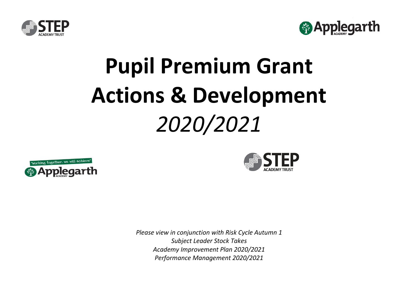



## **Pupil Premium Grant Actions & Development** *2020/2021*





*Please view in conjunction with Risk Cycle Autumn 1 Subject Leader Stock Takes Academy Improvement Plan 2020/2021 Performance Management 2020/2021*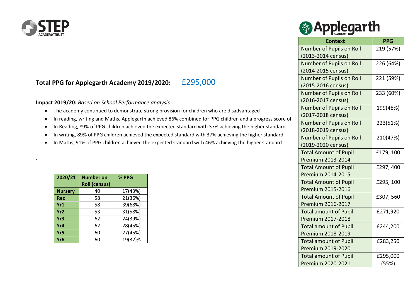

.

## **Total PPG for Applegarth Academy 2019/2020:** £295,000

**Impact 2019/20:** *Based on School Performance analysis*

- The academy continued to demonstrate strong provision for children who are disadvantaged
- In reading, writing and Maths, Applegarth achieved 86% combined for PPG children and a progress score of +
- In Reading, 89% of PPG children achieved the expected standard with 37% achieving the higher standard.
- In writing, 89% of PPG children achieved the expected standard with 37% achieving the higher standard.
- In Maths, 91% of PPG children achieved the expected standard with 46% achieving the higher standard

| 2020/21         | <b>Number on</b><br><b>Roll (census)</b> | % PPG   |
|-----------------|------------------------------------------|---------|
| <b>Nursery</b>  | 40                                       | 17(43%) |
| <b>Rec</b>      | 58                                       | 21(36%) |
| Yr1             | 58                                       | 39(68%) |
| Yr <sub>2</sub> | 53                                       | 31(58%) |
| Yr3             | 62                                       | 24(39%) |
| Yr4             | 62                                       | 28(45%) |
| Yr <sub>5</sub> | 60                                       | 27(45%) |
| Yr <sub>6</sub> | 60                                       | 19(32)% |

|  | <b><sup><sup>6</sup></sup></b> Applegarth |  |
|--|-------------------------------------------|--|
|--|-------------------------------------------|--|

| <b>Context</b>               | <b>PPG</b> |
|------------------------------|------------|
| Number of Pupils on Roll     | 219 (57%)  |
| (2013-2014 census)           |            |
| Number of Pupils on Roll     | 226 (64%)  |
| (2014-2015 census)           |            |
| Number of Pupils on Roll     | 221 (59%)  |
| (2015-2016 census)           |            |
| Number of Pupils on Roll     | 233 (60%)  |
| (2016-2017 census)           |            |
| Number of Pupils on Roll     | 199(48%)   |
| (2017-2018 census)           |            |
| Number of Pupils on Roll     | 223(51%)   |
| (2018-2019 census)           |            |
| Number of Pupils on Roll     | 210(47%)   |
| (2019-2020 census)           |            |
| <b>Total Amount of Pupil</b> | £179, 100  |
| Premium 2013-2014            |            |
| <b>Total Amount of Pupil</b> | £297,400   |
| Premium 2014-2015            |            |
| <b>Total Amount of Pupil</b> | £295, 100  |
| Premium 2015-2016            |            |
| <b>Total Amount of Pupil</b> | £307,560   |
| Premium 2016-2017            |            |
| <b>Total amount of Pupil</b> | £271,920   |
| Premium 2017-2018            |            |
| <b>Total amount of Pupil</b> | £244,200   |
| Premium 2018-2019            |            |
| <b>Total amount of Pupil</b> | £283,250   |
| Premium 2019-2020            |            |
| <b>Total amount of Pupil</b> | £295,000   |
| Premium 2020-2021            | (55%)      |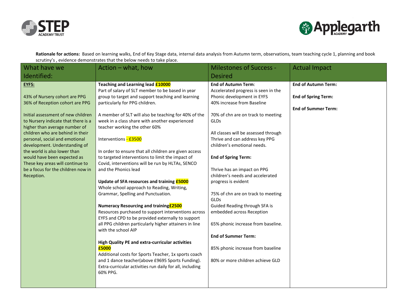



**Rationale for actions:** Based on learning walks, End of Key Stage data, internal data analysis from Autumn term, observations, team teaching cycle 1, planning and book scrutiny's , evidence demonstrates that the below needs to take place.

| What have we                                                                                                                                                                                                                                                                                                                                                             | Action - what, how                                                                                                                                                                                                                                                                                                                                                                                                                                                                                                                                                                                                                                                                                                        | <b>Milestones of Success -</b>                                                                                                                                                                                                                                                                                                                                                                                                              | <b>Actual Impact</b>                                     |
|--------------------------------------------------------------------------------------------------------------------------------------------------------------------------------------------------------------------------------------------------------------------------------------------------------------------------------------------------------------------------|---------------------------------------------------------------------------------------------------------------------------------------------------------------------------------------------------------------------------------------------------------------------------------------------------------------------------------------------------------------------------------------------------------------------------------------------------------------------------------------------------------------------------------------------------------------------------------------------------------------------------------------------------------------------------------------------------------------------------|---------------------------------------------------------------------------------------------------------------------------------------------------------------------------------------------------------------------------------------------------------------------------------------------------------------------------------------------------------------------------------------------------------------------------------------------|----------------------------------------------------------|
| Identified:                                                                                                                                                                                                                                                                                                                                                              |                                                                                                                                                                                                                                                                                                                                                                                                                                                                                                                                                                                                                                                                                                                           | <b>Desired</b>                                                                                                                                                                                                                                                                                                                                                                                                                              |                                                          |
| EYFS:<br>43% of Nursery cohort are PPG                                                                                                                                                                                                                                                                                                                                   | Teaching and Learning lead £10000<br>Part of salary of SLT member to be based in year<br>group to target and support teaching and learning                                                                                                                                                                                                                                                                                                                                                                                                                                                                                                                                                                                | <b>End of Autumn Term:</b><br>Accelerated progress is seen in the<br>Phonic development in EYFS                                                                                                                                                                                                                                                                                                                                             | <b>End of Autumn Term:</b><br><b>End of Spring Term:</b> |
| 36% of Reception cohort are PPG                                                                                                                                                                                                                                                                                                                                          | particularly for PPG children.                                                                                                                                                                                                                                                                                                                                                                                                                                                                                                                                                                                                                                                                                            | 40% increase from Baseline                                                                                                                                                                                                                                                                                                                                                                                                                  |                                                          |
| Initial assessment of new children<br>to Nursery indicate that there is a<br>higher than average number of<br>children who are behind in their<br>personal, social and emotional<br>development. Understanding of<br>the world is also lower than<br>would have been expected as<br>These key areas will continue to<br>be a focus for the children now in<br>Reception. | A member of SLT will also be teaching for 40% of the<br>week in a class share with another experienced<br>teacher working the other 60%<br>Interventions - £3500<br>In order to ensure that all children are given access<br>to targeted interventions to limit the impact of<br>Covid, interventions will be run by HLTAs, SENCO<br>and the Phonics lead<br>Update of SFA resources and training <b>£5000</b><br>Whole school approach to Reading, Writing,<br>Grammar, Spelling and Punctuation.<br><b>Numeracy Resourcing and training £2500</b><br>Resources purchased to support interventions across<br>EYFS and CPD to be provided externally to support<br>all PPG children particularly higher attainers in line | 70% of chn are on track to meeting<br><b>GLDs</b><br>All classes will be assessed through<br>Thrive and can address key PPG<br>children's emotional needs.<br><b>End of Spring Term:</b><br>Thrive has an impact on PPG<br>children's needs and accelerated<br>progress is evident<br>75% of chn are on track to meeting<br><b>GLDs</b><br>Guided Reading through SFA is<br>embedded across Reception<br>65% phonic increase from baseline. | <b>End of Summer Term:</b>                               |
|                                                                                                                                                                                                                                                                                                                                                                          | with the school AIP<br>High Quality PE and extra-curricular activities<br>£5000<br>Additional costs for Sports Teacher, 1x sports coach<br>and 1 dance teacher(above £9695 Sports Funding).<br>Extra-curricular activities run daily for all, including<br>60% PPG.                                                                                                                                                                                                                                                                                                                                                                                                                                                       | <b>End of Summer Term:</b><br>85% phonic increase from baseline<br>80% or more children achieve GLD                                                                                                                                                                                                                                                                                                                                         |                                                          |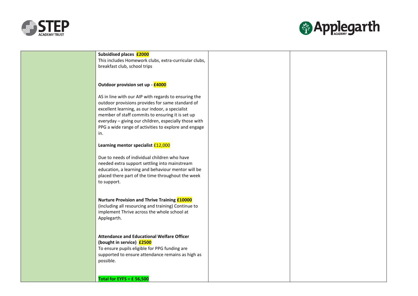



| Subsidised places <b>£2000</b><br>This includes Homework clubs, extra-curricular clubs,<br>breakfast club, school trips                                                                                                                                                                                                                 |  |
|-----------------------------------------------------------------------------------------------------------------------------------------------------------------------------------------------------------------------------------------------------------------------------------------------------------------------------------------|--|
| Outdoor provision set up - £4000                                                                                                                                                                                                                                                                                                        |  |
| AS in line with our AIP with regards to ensuring the<br>outdoor provisions provides for same standard of<br>excellent learning, as our indoor, a specialist<br>member of staff commits to ensuring it is set up<br>everyday - giving our children, especially those with<br>PPG a wide range of activities to explore and engage<br>in. |  |
| Learning mentor specialist £12,000                                                                                                                                                                                                                                                                                                      |  |
| Due to needs of individual children who have<br>needed extra support settling into mainstream<br>education, a learning and behaviour mentor will be<br>placed there part of the time throughout the week<br>to support.                                                                                                                 |  |
| <b>Nurture Provision and Thrive Training £10000</b><br>(including all resourcing and training) Continue to<br>implement Thrive across the whole school at<br>Applegarth.                                                                                                                                                                |  |
| <b>Attendance and Educational Welfare Officer</b><br>(bought in service) £2500<br>To ensure pupils eligible for PPG funding are<br>supported to ensure attendance remains as high as<br>possible.                                                                                                                                       |  |
| Total for EYFS = £56,500                                                                                                                                                                                                                                                                                                                |  |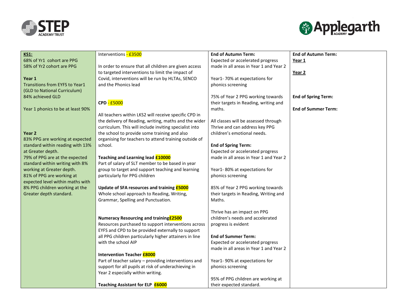



| <b>KS1:</b>                       | Interventions - £3500                                  | <b>End of Autumn Term:</b>             | <b>End of Autumn Term:</b> |
|-----------------------------------|--------------------------------------------------------|----------------------------------------|----------------------------|
| 68% of Yr1 cohort are PPG         |                                                        | Expected or accelerated progress       | Year 1                     |
| 58% of Yr2 cohort are PPG         | In order to ensure that all children are given access  | made in all areas in Year 1 and Year 2 |                            |
|                                   | to targeted interventions to limit the impact of       |                                        | Year <sub>2</sub>          |
| Year 1                            | Covid, interventions will be run by HLTAs, SENCO       | Year1-70% at expectations for          |                            |
| Transitions from EYFS to Year1    | and the Phonics lead                                   | phonics screening                      |                            |
| (GLD to National Curriculum)      |                                                        |                                        |                            |
| 84% achieved GLD                  |                                                        | 75% of Year 2 PPG working towards      | <b>End of Spring Term:</b> |
|                                   | CPD - £5000                                            | their targets in Reading, writing and  |                            |
| Year 1 phonics to be at least 90% |                                                        | maths.                                 | <b>End of Summer Term:</b> |
|                                   | All teachers within LKS2 will receive specific CPD in  |                                        |                            |
|                                   | the delivery of Reading, writing, maths and the wider  | All classes will be assessed through   |                            |
|                                   | curriculum. This will include inviting specialist into | Thrive and can address key PPG         |                            |
| Year 2                            | the school to provide some training and also           | children's emotional needs.            |                            |
| 83% PPG are working at expected   | organising for teachers to attend training outside of  |                                        |                            |
| standard within reading with 13%  | school.                                                | <b>End of Spring Term:</b>             |                            |
| at Greater depth.                 |                                                        | Expected or accelerated progress       |                            |
| 79% of PPG are at the expected    | Teaching and Learning lead £10000                      | made in all areas in Year 1 and Year 2 |                            |
| standard within writing with 8%   | Part of salary of SLT member to be based in year       |                                        |                            |
| working at Greater depth.         | group to target and support teaching and learning      | Year1-80% at expectations for          |                            |
| 81% of PPG are working at         | particularly for PPG children                          | phonics screening                      |                            |
| expected level within maths with  |                                                        |                                        |                            |
| 8% PPG children working at the    | Update of SFA resources and training <b>£5000</b>      | 85% of Year 2 PPG working towards      |                            |
| Greater depth standard.           | Whole school approach to Reading, Writing,             | their targets in Reading, Writing and  |                            |
|                                   | Grammar, Spelling and Punctuation.                     | Maths.                                 |                            |
|                                   |                                                        |                                        |                            |
|                                   |                                                        | Thrive has an impact on PPG            |                            |
|                                   | Numeracy Resourcing and training £2500                 | children's needs and accelerated       |                            |
|                                   | Resources purchased to support interventions across    | progress is evident                    |                            |
|                                   | EYFS and CPD to be provided externally to support      |                                        |                            |
|                                   | all PPG children particularly higher attainers in line | <b>End of Summer Term:</b>             |                            |
|                                   | with the school AIP                                    | Expected or accelerated progress       |                            |
|                                   |                                                        | made in all areas in Year 1 and Year 2 |                            |
|                                   | <b>Intervention Teacher £8000</b>                      |                                        |                            |
|                                   | Part of teacher salary - providing interventions and   | Year1-90% at expectations for          |                            |
|                                   | support for all pupils at risk of underachieving in    | phonics screening                      |                            |
|                                   | Year 2 especially within writing.                      |                                        |                            |
|                                   |                                                        | 95% of PPG children are working at     |                            |
|                                   | Teaching Assistant for ELP <b>£6000</b>                | their expected standard.               |                            |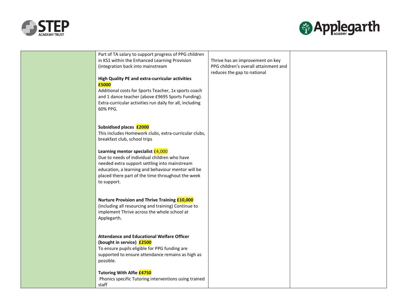



| Part of TA salary to support progress of PPG children    |                                       |  |
|----------------------------------------------------------|---------------------------------------|--|
| in KS1 within the Enhanced Learning Provision            | Thrive has an improvement on key      |  |
| (integration back into mainstream                        | PPG children's overall attainment and |  |
|                                                          | reduces the gap to national           |  |
| High Quality PE and extra-curricular activities          |                                       |  |
| £5000                                                    |                                       |  |
| Additional costs for Sports Teacher, 1x sports coach     |                                       |  |
| and 1 dance teacher (above £9695 Sports Funding).        |                                       |  |
|                                                          |                                       |  |
| Extra-curricular activities run daily for all, including |                                       |  |
| 60% PPG.                                                 |                                       |  |
|                                                          |                                       |  |
|                                                          |                                       |  |
| Subsidised places £2000                                  |                                       |  |
| This includes Homework clubs, extra-curricular clubs,    |                                       |  |
| breakfast club, school trips                             |                                       |  |
|                                                          |                                       |  |
| Learning mentor specialist £4,000                        |                                       |  |
| Due to needs of individual children who have             |                                       |  |
| needed extra support settling into mainstream            |                                       |  |
| education, a learning and behaviour mentor will be       |                                       |  |
| placed there part of the time throughout the week        |                                       |  |
| to support.                                              |                                       |  |
|                                                          |                                       |  |
|                                                          |                                       |  |
| Nurture Provision and Thrive Training £10,000            |                                       |  |
| (including all resourcing and training) Continue to      |                                       |  |
| implement Thrive across the whole school at              |                                       |  |
| Applegarth.                                              |                                       |  |
|                                                          |                                       |  |
|                                                          |                                       |  |
| <b>Attendance and Educational Welfare Officer</b>        |                                       |  |
| (bought in service) £2500                                |                                       |  |
| To ensure pupils eligible for PPG funding are            |                                       |  |
| supported to ensure attendance remains as high as        |                                       |  |
| possible.                                                |                                       |  |
|                                                          |                                       |  |
| Tutoring With Alfie <b>£4750</b>                         |                                       |  |
|                                                          |                                       |  |
| Phonics specific Tutoring interventions using trained    |                                       |  |
| staff                                                    |                                       |  |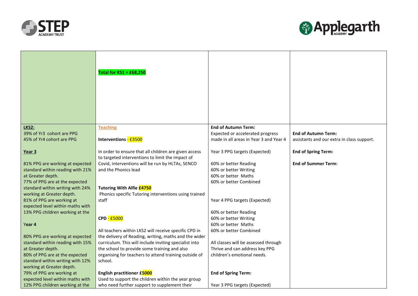



|                                  | Total for $KSI = \pounds 68,250$                                                                          |                                        |                                            |
|----------------------------------|-----------------------------------------------------------------------------------------------------------|----------------------------------------|--------------------------------------------|
| LKS2:                            | <b>Teaching</b>                                                                                           | <b>End of Autumn Term:</b>             |                                            |
| 39% of Yr3 cohort are PPG        |                                                                                                           | Expected or accelerated progress       | <b>End of Autumn Term:</b>                 |
| 45% of Yr4 cohort are PPG        | Interventions - £3500                                                                                     | made in all areas in Year 3 and Year 4 | assistants and our extra in class support. |
| Year 3                           | In order to ensure that all children are given access<br>to targeted interventions to limit the impact of | Year 3 PPG targets (Expected)          | <b>End of Spring Term:</b>                 |
|                                  |                                                                                                           |                                        | <b>End of Summer Term:</b>                 |
| 81% PPG are working at expected  | Covid, interventions will be run by HLTAs, SENCO                                                          | 60% or better Reading                  |                                            |
| standard within reading with 21% | and the Phonics lead                                                                                      | 60% or better Writing                  |                                            |
| at Greater depth.                |                                                                                                           | 60% or better Maths                    |                                            |
| 77% of PPG are at the expected   |                                                                                                           | 60% or better Combined                 |                                            |
| standard within writing with 24% | <b>Tutoring With Alfie £4750</b>                                                                          |                                        |                                            |
| working at Greater depth.        | Phonics specific Tutoring interventions using trained                                                     |                                        |                                            |
| 81% of PPG are working at        | staff                                                                                                     | Year 4 PPG targets (Expected)          |                                            |
| expected level within maths with |                                                                                                           |                                        |                                            |
| 13% PPG children working at the  |                                                                                                           | 60% or better Reading                  |                                            |
|                                  | CPD - £5000                                                                                               | 60% or better Writing                  |                                            |
| Year 4                           |                                                                                                           | 60% or better Maths                    |                                            |
|                                  | All teachers within LKS2 will receive specific CPD in                                                     | 60% or better Combined                 |                                            |
| 80% PPG are working at expected  | the delivery of Reading, writing, maths and the wider                                                     |                                        |                                            |
| standard within reading with 15% | curriculum. This will include inviting specialist into                                                    | All classes will be assessed through   |                                            |
| at Greater depth.                | the school to provide some training and also                                                              | Thrive and can address key PPG         |                                            |
| 80% of PPG are at the expected   | organising for teachers to attend training outside of                                                     | children's emotional needs.            |                                            |
| standard within writing with 12% | school.                                                                                                   |                                        |                                            |
| working at Greater depth.        |                                                                                                           |                                        |                                            |
| 79% of PPG are working at        | English practitioner £5000                                                                                | <b>End of Spring Term:</b>             |                                            |
| expected level within maths with | Used to support the children within the year group                                                        |                                        |                                            |
| 12% PPG children working at the  | who need further support to supplement their                                                              | Year 3 PPG targets (Expected)          |                                            |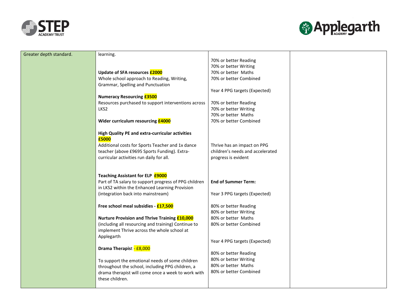



| Greater depth standard. | learning.                                              |                                  |  |
|-------------------------|--------------------------------------------------------|----------------------------------|--|
|                         |                                                        | 70% or better Reading            |  |
|                         |                                                        | 70% or better Writing            |  |
|                         | Update of SFA resources <b>£2000</b>                   | 70% or better Maths              |  |
|                         | Whole school approach to Reading, Writing,             | 70% or better Combined           |  |
|                         | Grammar, Spelling and Punctuation                      |                                  |  |
|                         |                                                        | Year 4 PPG targets (Expected)    |  |
|                         | <b>Numeracy Resourcing £3500</b>                       |                                  |  |
|                         | Resources purchased to support interventions across    | 70% or better Reading            |  |
|                         | LKS2                                                   | 70% or better Writing            |  |
|                         |                                                        | 70% or better Maths              |  |
|                         | Wider curriculum resourcing <b>£4000</b>               | 70% or better Combined           |  |
|                         | <b>High Quality PE and extra-curricular activities</b> |                                  |  |
|                         | £5000                                                  |                                  |  |
|                         | Additional costs for Sports Teacher and 1x dance       | Thrive has an impact on PPG      |  |
|                         | teacher (above £9695 Sports Funding). Extra-           | children's needs and accelerated |  |
|                         | curricular activities run daily for all.               | progress is evident              |  |
|                         |                                                        |                                  |  |
|                         |                                                        |                                  |  |
|                         | Teaching Assistant for ELP <b>£9000</b>                |                                  |  |
|                         | Part of TA salary to support progress of PPG children  | <b>End of Summer Term:</b>       |  |
|                         | in LKS2 within the Enhanced Learning Provision         |                                  |  |
|                         | (integration back into mainstream)                     | Year 3 PPG targets (Expected)    |  |
|                         |                                                        |                                  |  |
|                         | Free school meal subsidies - £17,500                   | 80% or better Reading            |  |
|                         |                                                        | 80% or better Writing            |  |
|                         | Nurture Provision and Thrive Training £10,000          | 80% or better Maths              |  |
|                         | (including all resourcing and training) Continue to    | 80% or better Combined           |  |
|                         | implement Thrive across the whole school at            |                                  |  |
|                         | Applegarth                                             | Year 4 PPG targets (Expected)    |  |
|                         |                                                        |                                  |  |
|                         | Drama Therapist - £8,000                               | 80% or better Reading            |  |
|                         | To support the emotional needs of some children        | 80% or better Writing            |  |
|                         | throughout the school, including PPG children, a       | 80% or better Maths              |  |
|                         | drama therapist will come once a week to work with     | 80% or better Combined           |  |
|                         | these children.                                        |                                  |  |
|                         |                                                        |                                  |  |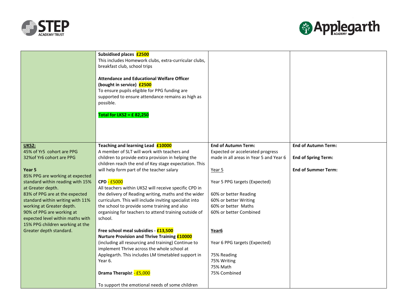



|                                                                     | Subsidised places £2500<br>This includes Homework clubs, extra-curricular clubs,<br>breakfast club, school trips<br><b>Attendance and Educational Welfare Officer</b><br>(bought in service) £2500<br>To ensure pupils eligible for PPG funding are<br>supported to ensure attendance remains as high as<br>possible.<br>Total for LKS2 = £82,250 |                                                                            |                            |
|---------------------------------------------------------------------|---------------------------------------------------------------------------------------------------------------------------------------------------------------------------------------------------------------------------------------------------------------------------------------------------------------------------------------------------|----------------------------------------------------------------------------|----------------------------|
| <b>UKS2:</b>                                                        | Teaching and learning Lead £10000                                                                                                                                                                                                                                                                                                                 | <b>End of Autumn Term:</b>                                                 | <b>End of Autumn Term:</b> |
| 45% of Yr5 cohort are PPG<br>32% of Yr6 cohort are PPG              | A member of SLT will work with teachers and<br>children to provide extra provision in helping the                                                                                                                                                                                                                                                 | Expected or accelerated progress<br>made in all areas in Year 5 and Year 6 | <b>End of Spring Term:</b> |
|                                                                     | children reach the end of Key stage expectation. This                                                                                                                                                                                                                                                                                             |                                                                            |                            |
| Year 5                                                              | will help form part of the teacher salary                                                                                                                                                                                                                                                                                                         | Year 5                                                                     | <b>End of Summer Term:</b> |
| 85% PPG are working at expected<br>standard within reading with 15% | CPD - £5000                                                                                                                                                                                                                                                                                                                                       | Year 5 PPG targets (Expected)                                              |                            |
| at Greater depth.                                                   | All teachers within UKS2 will receive specific CPD in                                                                                                                                                                                                                                                                                             |                                                                            |                            |
| 83% of PPG are at the expected                                      | the delivery of Reading writing, maths and the wider                                                                                                                                                                                                                                                                                              | 60% or better Reading                                                      |                            |
| standard within writing with 11%                                    | curriculum. This will include inviting specialist into                                                                                                                                                                                                                                                                                            | 60% or better Writing                                                      |                            |
| working at Greater depth.<br>90% of PPG are working at              | the school to provide some training and also<br>organising for teachers to attend training outside of                                                                                                                                                                                                                                             | 60% or better Maths<br>60% or better Combined                              |                            |
| expected level within maths with                                    | school.                                                                                                                                                                                                                                                                                                                                           |                                                                            |                            |
| 15% PPG children working at the                                     |                                                                                                                                                                                                                                                                                                                                                   |                                                                            |                            |
| Greater depth standard.                                             | Free school meal subsidies - £13,500                                                                                                                                                                                                                                                                                                              | Year6                                                                      |                            |
|                                                                     | <b>Nurture Provision and Thrive Training £10000</b><br>(including all resourcing and training) Continue to                                                                                                                                                                                                                                        | Year 6 PPG targets (Expected)                                              |                            |
|                                                                     | implement Thrive across the whole school at                                                                                                                                                                                                                                                                                                       |                                                                            |                            |
|                                                                     | Applegarth. This includes LM timetabled support in                                                                                                                                                                                                                                                                                                | 75% Reading                                                                |                            |
|                                                                     | Year 6.                                                                                                                                                                                                                                                                                                                                           | 75% Writing<br>75% Math                                                    |                            |
|                                                                     | Drama Therapist - £5,000                                                                                                                                                                                                                                                                                                                          | 75% Combined                                                               |                            |
|                                                                     |                                                                                                                                                                                                                                                                                                                                                   |                                                                            |                            |
|                                                                     | To support the emotional needs of some children                                                                                                                                                                                                                                                                                                   |                                                                            |                            |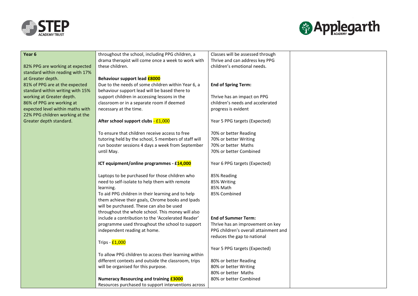



| Year 6                           | throughout the school, including PPG children, a      | Classes will be assessed through      |  |
|----------------------------------|-------------------------------------------------------|---------------------------------------|--|
|                                  | drama therapist will come once a week to work with    | Thrive and can address key PPG        |  |
| 82% PPG are working at expected  | these children.                                       | children's emotional needs.           |  |
| standard within reading with 17% |                                                       |                                       |  |
| at Greater depth.                | Behaviour support lead <b>£8000</b>                   |                                       |  |
| 81% of PPG are at the expected   | Due to the needs of some children within Year 6, a    | <b>End of Spring Term:</b>            |  |
| standard within writing with 15% | behaviour support lead will be based there to         |                                       |  |
| working at Greater depth.        | support children in accessing lessons in the          | Thrive has an impact on PPG           |  |
| 86% of PPG are working at        | classroom or in a separate room if deemed             | children's needs and accelerated      |  |
| expected level within maths with | necessary at the time.                                | progress is evident                   |  |
| 22% PPG children working at the  |                                                       |                                       |  |
| Greater depth standard.          | After school support clubs - £1,000                   | Year 5 PPG targets (Expected)         |  |
|                                  |                                                       |                                       |  |
|                                  | To ensure that children receive access to free        | 70% or better Reading                 |  |
|                                  | tutoring held by the school, 5 members of staff will  | 70% or better Writing                 |  |
|                                  | run booster sessions 4 days a week from September     | 70% or better Maths                   |  |
|                                  | until May.                                            | 70% or better Combined                |  |
|                                  |                                                       |                                       |  |
|                                  | ICT equipment/online programmes - £14,000             | Year 6 PPG targets (Expected)         |  |
|                                  |                                                       |                                       |  |
|                                  | Laptops to be purchased for those children who        | 85% Reading                           |  |
|                                  | need to self-isolate to help them with remote         | 85% Writing                           |  |
|                                  | learning.                                             | 85% Math                              |  |
|                                  | To aid PPG children in their learning and to help     | 85% Combined                          |  |
|                                  | them achieve their goals, Chrome books and Ipads      |                                       |  |
|                                  | will be purchased. These can also be used             |                                       |  |
|                                  | throughout the whole school. This money will also     |                                       |  |
|                                  | include a contribution to the 'Accelerated Reader'    | <b>End of Summer Term:</b>            |  |
|                                  | programme used throughout the school to support       | Thrive has an improvement on key      |  |
|                                  | independent reading at home.                          | PPG children's overall attainment and |  |
|                                  |                                                       | reduces the gap to national           |  |
|                                  | Trips - £1,000                                        |                                       |  |
|                                  |                                                       | Year 5 PPG targets (Expected)         |  |
|                                  | To allow PPG children to access their learning within |                                       |  |
|                                  | different contexts and outside the classroom, trips   | 80% or better Reading                 |  |
|                                  | will be organised for this purpose.                   | 80% or better Writing                 |  |
|                                  |                                                       | 80% or better Maths                   |  |
|                                  | <b>Numeracy Resourcing and training £3000</b>         | 80% or better Combined                |  |
|                                  | Resources purchased to support interventions across   |                                       |  |
|                                  |                                                       |                                       |  |